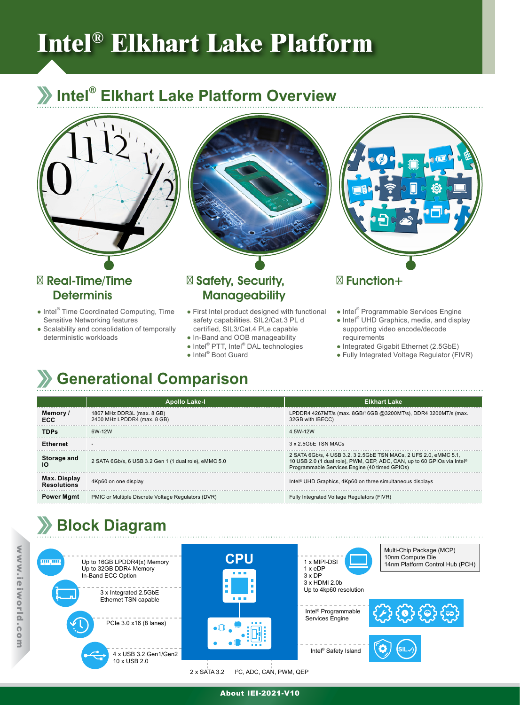# **Intel® Elkhart Lake Platform**

### **Intel® Elkhart Lake Platform Overview**





#### Real-Time/Time **Determinis**

- Intel<sup>®</sup> Time Coordinated Computing, Time Sensitive Networking features
- Scalability and consolidation of temporally deterministic workloads

#### Safety, Security, **Manageability**

- First Intel product designed with functional safety capabilities. SIL2/Cat.3 PL d certified, SIL3/Cat.4 PLe capable
- In-Band and OOB manageability
- Intel<sup>®</sup> PTT, Intel<sup>®</sup> DAL technologies
- Intel<sup>®</sup> Boot Guard



#### Function+

- Intel<sup>®</sup> Programmable Services Engine
- Intel<sup>®</sup> UHD Graphics, media, and display supporting video encode/decode requirements
- Integrated Gigabit Ethernet (2.5GbE)
- Fully Integrated Voltage Regulator (FIVR)

# **Generational Comparison**

|                                    | <b>Apollo Lake-I</b>                                      | <b>Elkhart Lake</b>                                                                                                                                                                                      |
|------------------------------------|-----------------------------------------------------------|----------------------------------------------------------------------------------------------------------------------------------------------------------------------------------------------------------|
| Memory/<br>ECC                     | 1867 MHz DDR3L (max. 8 GB)<br>2400 MHz LPDDR4 (max, 8 GB) | LPDDR4 4267MT/s (max. 8GB/16GB @3200MT/s), DDR4 3200MT/s (max.<br>32GB with IBECC)                                                                                                                       |
| <b>TDPs</b>                        | 6W-12W                                                    | 4.5W-12W                                                                                                                                                                                                 |
| Ethernet                           | $\overline{\phantom{a}}$                                  | 3 x 2.5GbE TSN MACs                                                                                                                                                                                      |
| Storage and<br>Ю                   | 2 SATA 6Gb/s, 6 USB 3.2 Gen 1 (1 dual role), eMMC 5.0     | 2 SATA 6Gb/s, 4 USB 3.2, 3 2.5GbE TSN MACs, 2 UFS 2.0, eMMC 5.1,<br>10 USB 2.0 (1 dual role), PWM, QEP, ADC, CAN, up to 60 GPIOs via Intel <sup>®</sup><br>Programmable Services Engine (40 timed GPIOs) |
| Max. Display<br><b>Resolutions</b> | 4Kp60 on one display                                      | Intel <sup>®</sup> UHD Graphics, 4Kp60 on three simultaneous displays                                                                                                                                    |
| <b>Power Mamt</b>                  | PMIC or Multiple Discrete Voltage Regulators (DVR)        | Fully Integrated Voltage Regulators (FIVR)                                                                                                                                                               |

## **Block Diagram**







Intel<sup>®</sup> Programmable<br>Services Engine

Intel® Safety Island







**SIL )**

2 x SATA 3.2 I 2 C, ADC, CAN, PWM, QEP